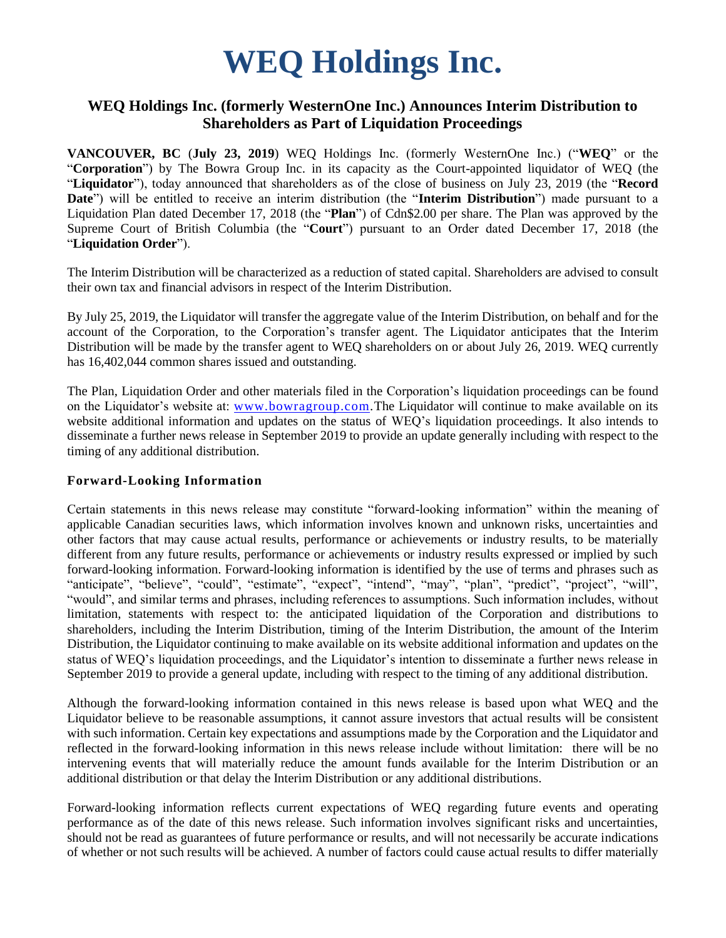# **WEQ Holdings Inc.**

## **WEQ Holdings Inc. (formerly WesternOne Inc.) Announces Interim Distribution to Shareholders as Part of Liquidation Proceedings**

**VANCOUVER, BC** (**July 23, 2019**) WEQ Holdings Inc. (formerly WesternOne Inc.) ("**WEQ**" or the "**Corporation**") by The Bowra Group Inc. in its capacity as the Court-appointed liquidator of WEQ (the "**Liquidator**"), today announced that shareholders as of the close of business on July 23, 2019 (the "**Record Date**") will be entitled to receive an interim distribution (the "**Interim Distribution**") made pursuant to a Liquidation Plan dated December 17, 2018 (the "**Plan**") of Cdn\$2.00 per share. The Plan was approved by the Supreme Court of British Columbia (the "**Court**") pursuant to an Order dated December 17, 2018 (the "**Liquidation Order**").

The Interim Distribution will be characterized as a reduction of stated capital. Shareholders are advised to consult their own tax and financial advisors in respect of the Interim Distribution.

By July 25, 2019, the Liquidator will transfer the aggregate value of the Interim Distribution, on behalf and for the account of the Corporation, to the Corporation's transfer agent. The Liquidator anticipates that the Interim Distribution will be made by the transfer agent to WEQ shareholders on or about July 26, 2019. WEQ currently has 16,402,044 common shares issued and outstanding.

The Plan, Liquidation Order and other materials filed in the Corporation's liquidation proceedings can be found on the Liquidator's website at: [www.bowragroup.com.](http://www.bowragroup.com/)The Liquidator will continue to make available on its website additional information and updates on the status of WEQ's liquidation proceedings. It also intends to disseminate a further news release in September 2019 to provide an update generally including with respect to the timing of any additional distribution.

#### **Forward-Looking Information**

Certain statements in this news release may constitute "forward-looking information" within the meaning of applicable Canadian securities laws, which information involves known and unknown risks, uncertainties and other factors that may cause actual results, performance or achievements or industry results, to be materially different from any future results, performance or achievements or industry results expressed or implied by such forward-looking information. Forward-looking information is identified by the use of terms and phrases such as "anticipate", "believe", "could", "estimate", "expect", "intend", "may", "plan", "predict", "project", "will", "would", and similar terms and phrases, including references to assumptions. Such information includes, without limitation, statements with respect to: the anticipated liquidation of the Corporation and distributions to shareholders, including the Interim Distribution, timing of the Interim Distribution, the amount of the Interim Distribution, the Liquidator continuing to make available on its website additional information and updates on the status of WEQ's liquidation proceedings, and the Liquidator's intention to disseminate a further news release in September 2019 to provide a general update, including with respect to the timing of any additional distribution.

Although the forward-looking information contained in this news release is based upon what WEQ and the Liquidator believe to be reasonable assumptions, it cannot assure investors that actual results will be consistent with such information. Certain key expectations and assumptions made by the Corporation and the Liquidator and reflected in the forward-looking information in this news release include without limitation: there will be no intervening events that will materially reduce the amount funds available for the Interim Distribution or an additional distribution or that delay the Interim Distribution or any additional distributions.

Forward-looking information reflects current expectations of WEQ regarding future events and operating performance as of the date of this news release. Such information involves significant risks and uncertainties, should not be read as guarantees of future performance or results, and will not necessarily be accurate indications of whether or not such results will be achieved. A number of factors could cause actual results to differ materially